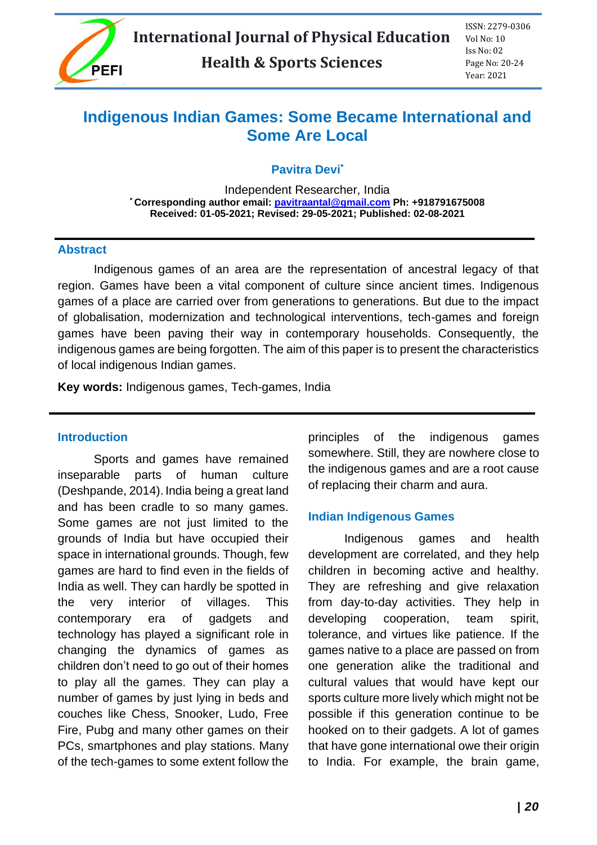

# **Indigenous Indian Games: Some Became International and Some Are Local**

**Pavitra Devi\***

Independent Researcher, India **\* Corresponding author email: [pavitraantal@gmail.com](mailto:pavitraantal@gmail.com) Ph: +918791675008 Received: 01-05-2021; Revised: 29-05-2021; Published: 02-08-2021**

#### **Abstract**

Indigenous games of an area are the representation of ancestral legacy of that region. Games have been a vital component of culture since ancient times. Indigenous games of a place are carried over from generations to generations. But due to the impact of globalisation, modernization and technological interventions, tech-games and foreign games have been paving their way in contemporary households. Consequently, the indigenous games are being forgotten. The aim of this paper is to present the characteristics of local indigenous Indian games.

**Key words:** Indigenous games, Tech-games, India

#### **Introduction**

Sports and games have remained inseparable parts of human culture (Deshpande, 2014). India being a great land and has been cradle to so many games. Some games are not just limited to the grounds of India but have occupied their space in international grounds. Though, few games are hard to find even in the fields of India as well. They can hardly be spotted in the very interior of villages. This contemporary era of gadgets and technology has played a significant role in changing the dynamics of games as children don't need to go out of their homes to play all the games. They can play a number of games by just lying in beds and couches like Chess, Snooker, Ludo, Free Fire, Pubg and many other games on their PCs, smartphones and play stations. Many of the tech-games to some extent follow the principles of the indigenous games somewhere. Still, they are nowhere close to the indigenous games and are a root cause of replacing their charm and aura.

### **Indian Indigenous Games**

Indigenous games and health development are correlated, and they help children in becoming active and healthy. They are refreshing and give relaxation from day-to-day activities. They help in developing cooperation, team spirit, tolerance, and virtues like patience. If the games native to a place are passed on from one generation alike the traditional and cultural values that would have kept our sports culture more lively which might not be possible if this generation continue to be hooked on to their gadgets. A lot of games that have gone international owe their origin to India. For example, the brain game,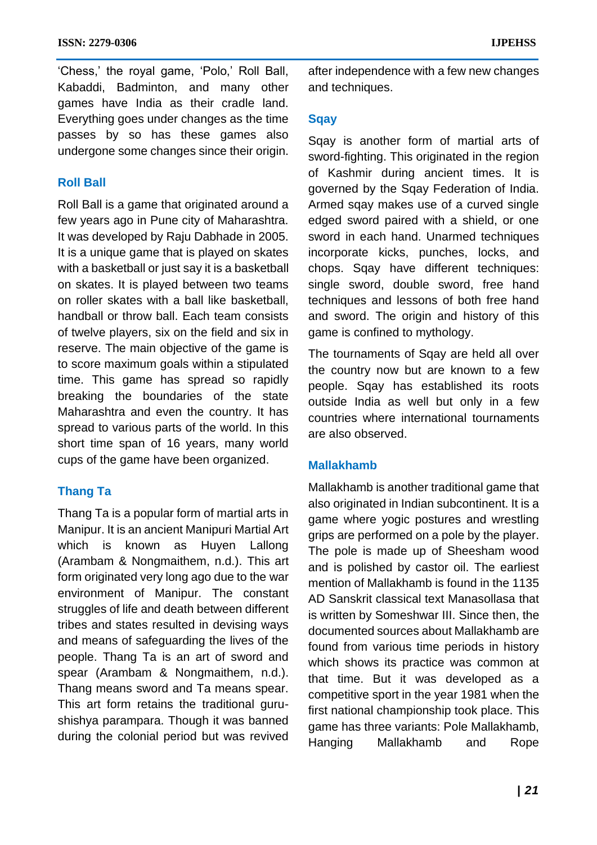'Chess,' the royal game, 'Polo,' Roll Ball, Kabaddi, Badminton, and many other games have India as their cradle land. Everything goes under changes as the time passes by so has these games also undergone some changes since their origin.

### **Roll Ball**

Roll Ball is a game that originated around a few years ago in Pune city of Maharashtra. It was developed by Raju Dabhade in 2005. It is a unique game that is played on skates with a basketball or just say it is a basketball on skates. It is played between two teams on roller skates with a ball like basketball, handball or throw ball. Each team consists of twelve players, six on the field and six in reserve. The main objective of the game is to score maximum goals within a stipulated time. This game has spread so rapidly breaking the boundaries of the state Maharashtra and even the country. It has spread to various parts of the world. In this short time span of 16 years, many world cups of the game have been organized.

#### **Thang Ta**

Thang Ta is a popular form of martial arts in Manipur. It is an ancient Manipuri Martial Art which is known as Huyen Lallong (Arambam & Nongmaithem, n.d.). This art form originated very long ago due to the war environment of Manipur. The constant struggles of life and death between different tribes and states resulted in devising ways and means of safeguarding the lives of the people. Thang Ta is an art of sword and spear (Arambam & Nongmaithem, n.d.). Thang means sword and Ta means spear. This art form retains the traditional gurushishya parampara. Though it was banned during the colonial period but was revived after independence with a few new changes and techniques.

#### **Sqay**

Sqay is another form of martial arts of sword-fighting. This originated in the region of Kashmir during ancient times. It is governed by the Sqay Federation of India. Armed sqay makes use of a curved single edged sword paired with a shield, or one sword in each hand. Unarmed techniques incorporate kicks, punches, locks, and chops. Sqay have different techniques: single sword, double sword, free hand techniques and lessons of both free hand and sword. The origin and history of this game is confined to mythology.

The tournaments of Sqay are held all over the country now but are known to a few people. Sqay has established its roots outside India as well but only in a few countries where international tournaments are also observed.

#### **Mallakhamb**

Mallakhamb is another traditional game that also originated in Indian subcontinent. It is a game where yogic postures and wrestling grips are performed on a pole by the player. The pole is made up of Sheesham wood and is polished by castor oil. The earliest mention of Mallakhamb is found in the 1135 AD Sanskrit classical text Manasollasa that is written by Someshwar III. Since then, the documented sources about Mallakhamb are found from various time periods in history which shows its practice was common at that time. But it was developed as a competitive sport in the year 1981 when the first national championship took place. This game has three variants: Pole Mallakhamb, Hanging Mallakhamb and Rope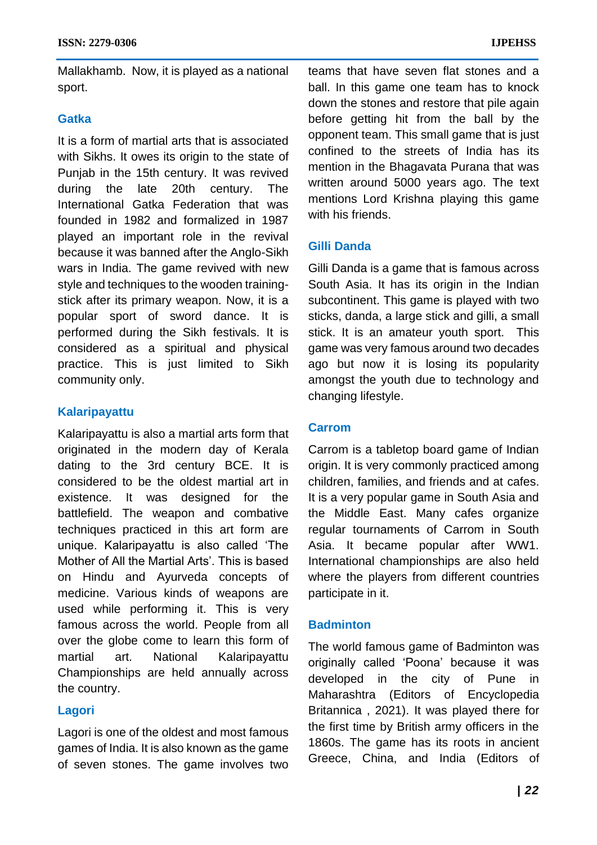Mallakhamb. Now, it is played as a national sport.

#### **Gatka**

It is a form of martial arts that is associated with Sikhs. It owes its origin to the state of Punjab in the 15th century. It was revived during the late 20th century. The International Gatka Federation that was founded in 1982 and formalized in 1987 played an important role in the revival because it was banned after the Anglo-Sikh wars in India. The game revived with new style and techniques to the wooden trainingstick after its primary weapon. Now, it is a popular sport of sword dance. It is performed during the Sikh festivals. It is considered as a spiritual and physical practice. This is just limited to Sikh community only.

# **Kalaripayattu**

Kalaripayattu is also a martial arts form that originated in the modern day of Kerala dating to the 3rd century BCE. It is considered to be the oldest martial art in existence. It was designed for the battlefield. The weapon and combative techniques practiced in this art form are unique. Kalaripayattu is also called 'The Mother of All the Martial Arts'. This is based on Hindu and Ayurveda concepts of medicine. Various kinds of weapons are used while performing it. This is very famous across the world. People from all over the globe come to learn this form of martial art. National Kalaripayattu Championships are held annually across the country.

### **Lagori**

Lagori is one of the oldest and most famous games of India. It is also known as the game of seven stones. The game involves two teams that have seven flat stones and a ball. In this game one team has to knock down the stones and restore that pile again before getting hit from the ball by the opponent team. This small game that is just confined to the streets of India has its mention in the Bhagavata Purana that was written around 5000 years ago. The text mentions Lord Krishna playing this game with his friends.

# **Gilli Danda**

Gilli Danda is a game that is famous across South Asia. It has its origin in the Indian subcontinent. This game is played with two sticks, danda, a large stick and gilli, a small stick. It is an amateur youth sport. This game was very famous around two decades ago but now it is losing its popularity amongst the youth due to technology and changing lifestyle.

### **Carrom**

Carrom is a tabletop board game of Indian origin. It is very commonly practiced among children, families, and friends and at cafes. It is a very popular game in South Asia and the Middle East. Many cafes organize regular tournaments of Carrom in South Asia. It became popular after WW1. International championships are also held where the players from different countries participate in it.

### **Badminton**

The world famous game of Badminton was originally called 'Poona' because it was developed in the city of Pune in Maharashtra (Editors of Encyclopedia Britannica , 2021). It was played there for the first time by British army officers in the 1860s. The game has its roots in ancient Greece, China, and India (Editors of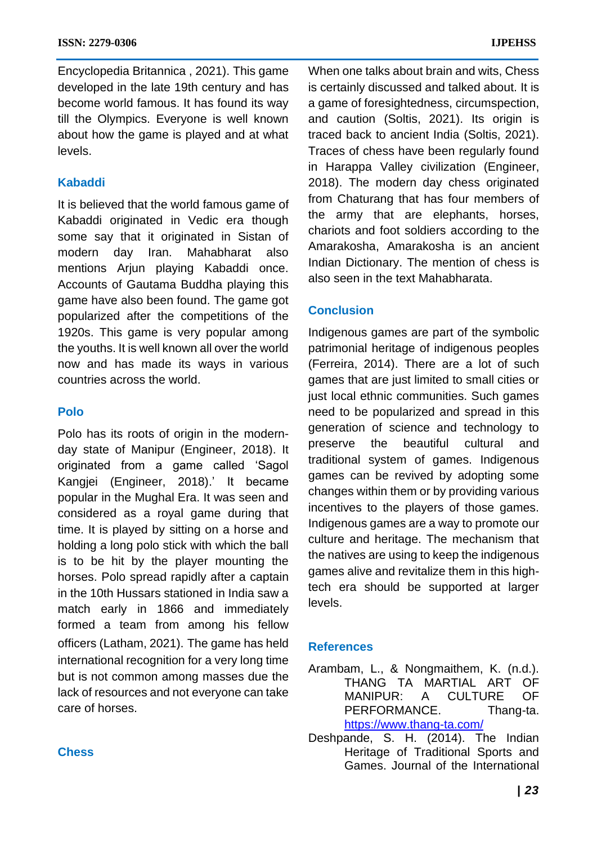Encyclopedia Britannica , 2021). This game developed in the late 19th century and has become world famous. It has found its way till the Olympics. Everyone is well known about how the game is played and at what levels.

### **Kabaddi**

It is believed that the world famous game of Kabaddi originated in Vedic era though some say that it originated in Sistan of modern day Iran. Mahabharat also mentions Arjun playing Kabaddi once. Accounts of Gautama Buddha playing this game have also been found. The game got popularized after the competitions of the 1920s. This game is very popular among the youths. It is well known all over the world now and has made its ways in various countries across the world.

#### **Polo**

Polo has its roots of origin in the modernday state of Manipur (Engineer, 2018). It originated from a game called 'Sagol Kangjei (Engineer, 2018).' It became popular in the Mughal Era. It was seen and considered as a royal game during that time. It is played by sitting on a horse and holding a long polo stick with which the ball is to be hit by the player mounting the horses. Polo spread rapidly after a captain in the 10th Hussars stationed in India saw a match early in 1866 and immediately formed a team from among his fellow officers (Latham, 2021). The game has held international recognition for a very long time but is not common among masses due the lack of resources and not everyone can take care of horses.

When one talks about brain and wits, Chess is certainly discussed and talked about. It is a game of foresightedness, circumspection, and caution (Soltis, 2021). Its origin is traced back to ancient India (Soltis, 2021). Traces of chess have been regularly found in Harappa Valley civilization (Engineer, 2018). The modern day chess originated from Chaturang that has four members of the army that are elephants, horses, chariots and foot soldiers according to the Amarakosha, Amarakosha is an ancient Indian Dictionary. The mention of chess is also seen in the text Mahabharata.

### **Conclusion**

Indigenous games are part of the symbolic patrimonial heritage of indigenous peoples (Ferreira, 2014). There are a lot of such games that are just limited to small cities or just local ethnic communities. Such games need to be popularized and spread in this generation of science and technology to preserve the beautiful cultural and traditional system of games. Indigenous games can be revived by adopting some changes within them or by providing various incentives to the players of those games. Indigenous games are a way to promote our culture and heritage. The mechanism that the natives are using to keep the indigenous games alive and revitalize them in this hightech era should be supported at larger levels.

#### **References**

Arambam, L., & Nongmaithem, K. (n.d.). THANG TA MARTIAL ART OF MANIPUR: A CULTURE OF PERFORMANCE. Thang-ta. <https://www.thang-ta.com/>

Deshpande, S. H. (2014). The Indian Heritage of Traditional Sports and Games. Journal of the International

#### **Chess**